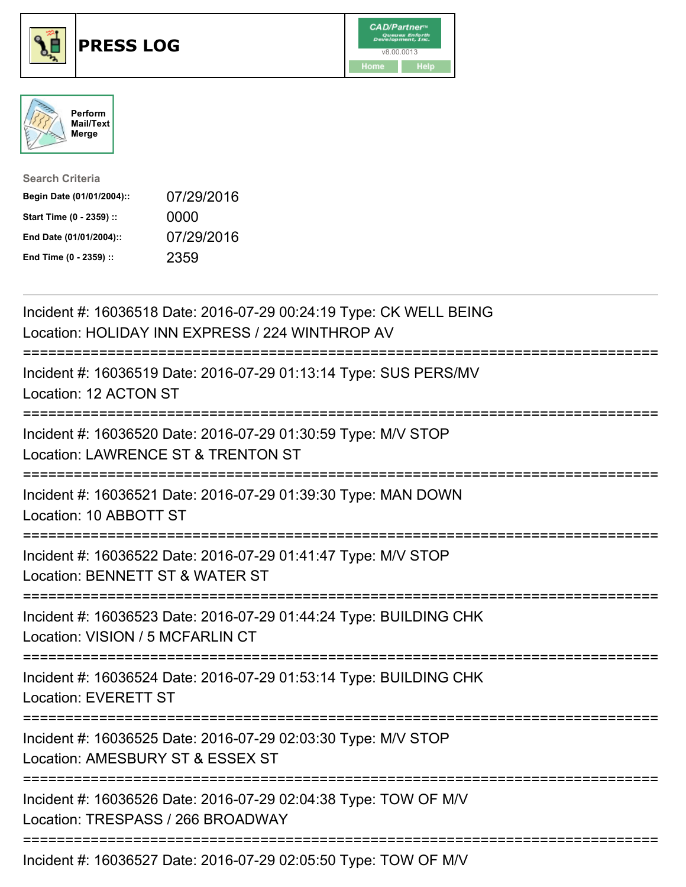





| <b>Search Criteria</b>    |            |
|---------------------------|------------|
| Begin Date (01/01/2004):: | 07/29/2016 |
| Start Time (0 - 2359) ::  | 0000       |
| End Date (01/01/2004)::   | 07/29/2016 |
| End Time (0 - 2359) ::    | 2359       |

| Incident #: 16036518 Date: 2016-07-29 00:24:19 Type: CK WELL BEING<br>Location: HOLIDAY INN EXPRESS / 224 WINTHROP AV                          |
|------------------------------------------------------------------------------------------------------------------------------------------------|
| Incident #: 16036519 Date: 2016-07-29 01:13:14 Type: SUS PERS/MV<br>Location: 12 ACTON ST                                                      |
| Incident #: 16036520 Date: 2016-07-29 01:30:59 Type: M/V STOP<br>Location: LAWRENCE ST & TRENTON ST                                            |
| Incident #: 16036521 Date: 2016-07-29 01:39:30 Type: MAN DOWN<br>Location: 10 ABBOTT ST<br>--------------                                      |
| Incident #: 16036522 Date: 2016-07-29 01:41:47 Type: M/V STOP<br>Location: BENNETT ST & WATER ST<br>.-------------------------<br>------------ |
| Incident #: 16036523 Date: 2016-07-29 01:44:24 Type: BUILDING CHK<br>Location: VISION / 5 MCFARLIN CT                                          |
| Incident #: 16036524 Date: 2016-07-29 01:53:14 Type: BUILDING CHK<br><b>Location: EVERETT ST</b>                                               |
| Incident #: 16036525 Date: 2016-07-29 02:03:30 Type: M/V STOP<br>Location: AMESBURY ST & ESSEX ST                                              |
| Incident #: 16036526 Date: 2016-07-29 02:04:38 Type: TOW OF M/V<br>Location: TRESPASS / 266 BROADWAY                                           |
| Incident #: 16036527 Date: 2016-07-29 02:05:50 Type: TOW OF M/V                                                                                |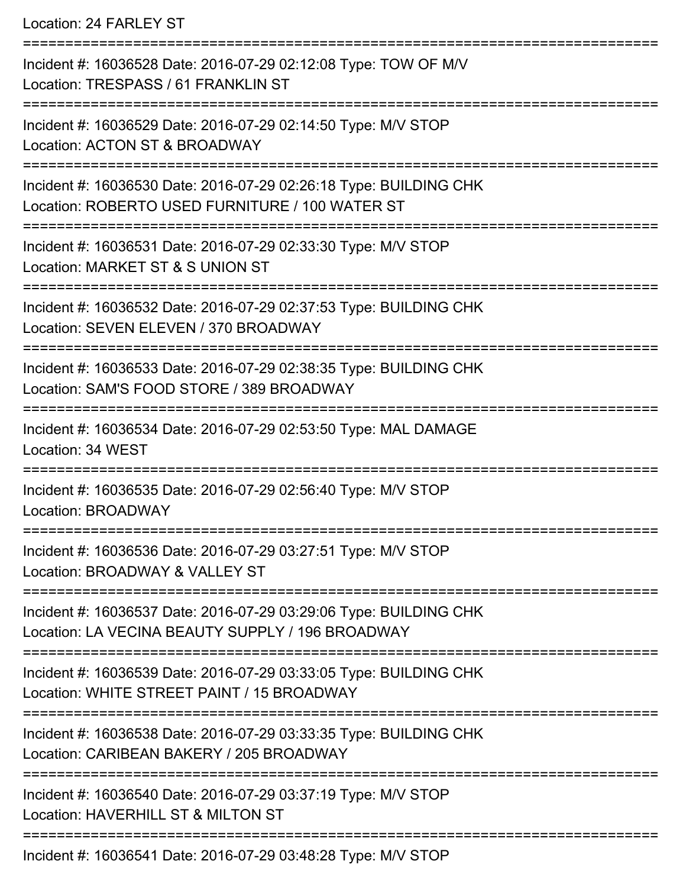Location: 24 FARLEY ST

=========================================================================== Incident #: 16036528 Date: 2016-07-29 02:12:08 Type: TOW OF M/V Location: TRESPASS / 61 FRANKLIN ST =========================================================================== Incident #: 16036529 Date: 2016-07-29 02:14:50 Type: M/V STOP Location: ACTON ST & BROADWAY =========================================================================== Incident #: 16036530 Date: 2016-07-29 02:26:18 Type: BUILDING CHK Location: ROBERTO USED FURNITURE / 100 WATER ST =========================================================================== Incident #: 16036531 Date: 2016-07-29 02:33:30 Type: M/V STOP Location: MARKET ST & S UNION ST =========================================================================== Incident #: 16036532 Date: 2016-07-29 02:37:53 Type: BUILDING CHK Location: SEVEN ELEVEN / 370 BROADWAY =========================================================================== Incident #: 16036533 Date: 2016-07-29 02:38:35 Type: BUILDING CHK Location: SAM'S FOOD STORE / 389 BROADWAY =========================================================================== Incident #: 16036534 Date: 2016-07-29 02:53:50 Type: MAL DAMAGE Location: 34 WEST =========================================================================== Incident #: 16036535 Date: 2016-07-29 02:56:40 Type: M/V STOP Location: BROADWAY =========================================================================== Incident #: 16036536 Date: 2016-07-29 03:27:51 Type: M/V STOP Location: BROADWAY & VALLEY ST =========================================================================== Incident #: 16036537 Date: 2016-07-29 03:29:06 Type: BUILDING CHK Location: LA VECINA BEAUTY SUPPLY / 196 BROADWAY =========================================================================== Incident #: 16036539 Date: 2016-07-29 03:33:05 Type: BUILDING CHK Location: WHITE STREET PAINT / 15 BROADWAY =========================================================================== Incident #: 16036538 Date: 2016-07-29 03:33:35 Type: BUILDING CHK Location: CARIBEAN BAKERY / 205 BROADWAY =========================================================================== Incident #: 16036540 Date: 2016-07-29 03:37:19 Type: M/V STOP Location: HAVERHILL ST & MILTON ST =========================================================================== Incident #: 16036541 Date: 2016-07-29 03:48:28 Type: M/V STOP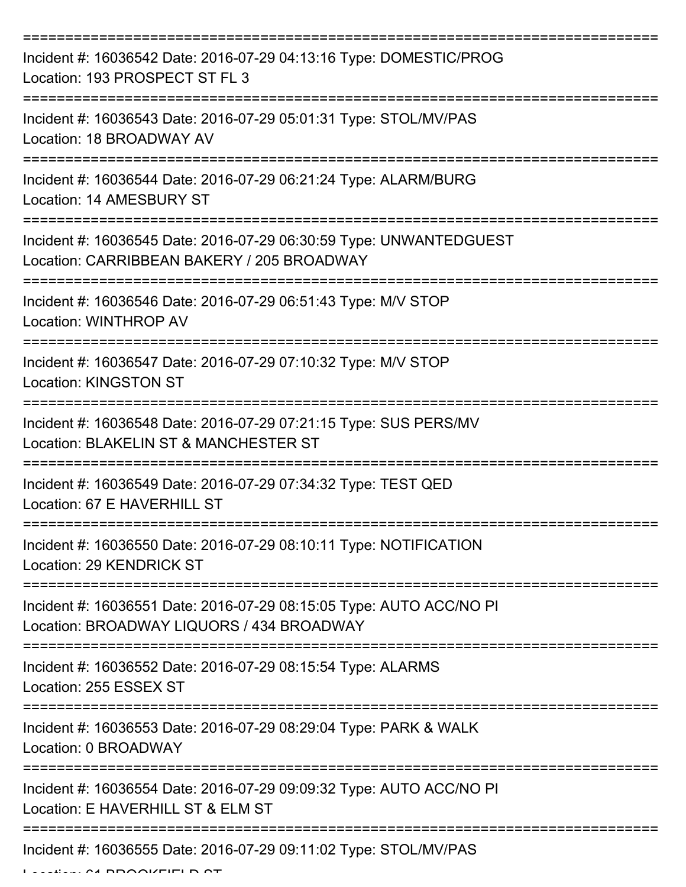| Incident #: 16036542 Date: 2016-07-29 04:13:16 Type: DOMESTIC/PROG<br>Location: 193 PROSPECT ST FL 3             |
|------------------------------------------------------------------------------------------------------------------|
| Incident #: 16036543 Date: 2016-07-29 05:01:31 Type: STOL/MV/PAS<br>Location: 18 BROADWAY AV                     |
| Incident #: 16036544 Date: 2016-07-29 06:21:24 Type: ALARM/BURG<br>Location: 14 AMESBURY ST                      |
| Incident #: 16036545 Date: 2016-07-29 06:30:59 Type: UNWANTEDGUEST<br>Location: CARRIBBEAN BAKERY / 205 BROADWAY |
| Incident #: 16036546 Date: 2016-07-29 06:51:43 Type: M/V STOP<br><b>Location: WINTHROP AV</b>                    |
| Incident #: 16036547 Date: 2016-07-29 07:10:32 Type: M/V STOP<br><b>Location: KINGSTON ST</b>                    |
| Incident #: 16036548 Date: 2016-07-29 07:21:15 Type: SUS PERS/MV<br>Location: BLAKELIN ST & MANCHESTER ST        |
| Incident #: 16036549 Date: 2016-07-29 07:34:32 Type: TEST QED<br>Location: 67 E HAVERHILL ST                     |
| Incident #: 16036550 Date: 2016-07-29 08:10:11 Type: NOTIFICATION<br>Location: 29 KENDRICK ST                    |
| Incident #: 16036551 Date: 2016-07-29 08:15:05 Type: AUTO ACC/NO PI<br>Location: BROADWAY LIQUORS / 434 BROADWAY |
| Incident #: 16036552 Date: 2016-07-29 08:15:54 Type: ALARMS<br>Location: 255 ESSEX ST                            |
| Incident #: 16036553 Date: 2016-07-29 08:29:04 Type: PARK & WALK<br>Location: 0 BROADWAY                         |
| Incident #: 16036554 Date: 2016-07-29 09:09:32 Type: AUTO ACC/NO PI<br>Location: E HAVERHILL ST & ELM ST         |
| Incident #: 16036555 Date: 2016-07-29 09:11:02 Type: STOL/MV/PAS                                                 |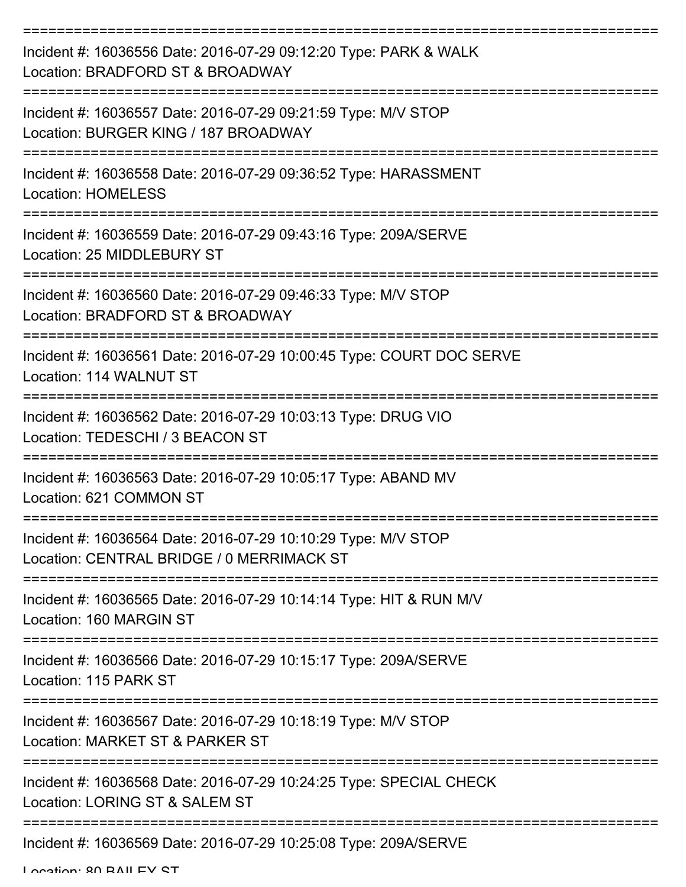| Incident #: 16036556 Date: 2016-07-29 09:12:20 Type: PARK & WALK<br>Location: BRADFORD ST & BROADWAY       |
|------------------------------------------------------------------------------------------------------------|
| Incident #: 16036557 Date: 2016-07-29 09:21:59 Type: M/V STOP<br>Location: BURGER KING / 187 BROADWAY      |
| Incident #: 16036558 Date: 2016-07-29 09:36:52 Type: HARASSMENT<br><b>Location: HOMELESS</b>               |
| Incident #: 16036559 Date: 2016-07-29 09:43:16 Type: 209A/SERVE<br>Location: 25 MIDDLEBURY ST              |
| Incident #: 16036560 Date: 2016-07-29 09:46:33 Type: M/V STOP<br>Location: BRADFORD ST & BROADWAY          |
| Incident #: 16036561 Date: 2016-07-29 10:00:45 Type: COURT DOC SERVE<br>Location: 114 WALNUT ST            |
| Incident #: 16036562 Date: 2016-07-29 10:03:13 Type: DRUG VIO<br>Location: TEDESCHI / 3 BEACON ST          |
| Incident #: 16036563 Date: 2016-07-29 10:05:17 Type: ABAND MV<br>Location: 621 COMMON ST                   |
| Incident #: 16036564 Date: 2016-07-29 10:10:29 Type: M/V STOP<br>Location: CENTRAL BRIDGE / 0 MERRIMACK ST |
| Incident #: 16036565 Date: 2016-07-29 10:14:14 Type: HIT & RUN M/V<br>Location: 160 MARGIN ST              |
| Incident #: 16036566 Date: 2016-07-29 10:15:17 Type: 209A/SERVE<br>Location: 115 PARK ST                   |
| Incident #: 16036567 Date: 2016-07-29 10:18:19 Type: M/V STOP<br>Location: MARKET ST & PARKER ST           |
| Incident #: 16036568 Date: 2016-07-29 10:24:25 Type: SPECIAL CHECK<br>Location: LORING ST & SALEM ST       |
| Incident #: 16036569 Date: 2016-07-29 10:25:08 Type: 209A/SERVE                                            |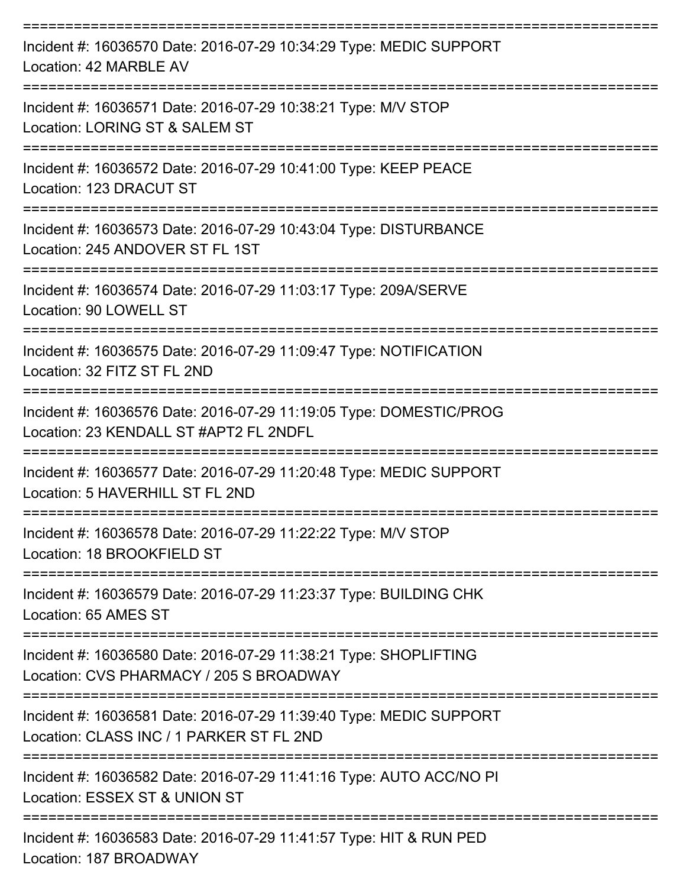| Incident #: 16036570 Date: 2016-07-29 10:34:29 Type: MEDIC SUPPORT<br>Location: 42 MARBLE AV                   |
|----------------------------------------------------------------------------------------------------------------|
| Incident #: 16036571 Date: 2016-07-29 10:38:21 Type: M/V STOP<br>Location: LORING ST & SALEM ST                |
| Incident #: 16036572 Date: 2016-07-29 10:41:00 Type: KEEP PEACE<br>Location: 123 DRACUT ST                     |
| Incident #: 16036573 Date: 2016-07-29 10:43:04 Type: DISTURBANCE<br>Location: 245 ANDOVER ST FL 1ST            |
| Incident #: 16036574 Date: 2016-07-29 11:03:17 Type: 209A/SERVE<br>Location: 90 LOWELL ST                      |
| Incident #: 16036575 Date: 2016-07-29 11:09:47 Type: NOTIFICATION<br>Location: 32 FITZ ST FL 2ND               |
| Incident #: 16036576 Date: 2016-07-29 11:19:05 Type: DOMESTIC/PROG<br>Location: 23 KENDALL ST #APT2 FL 2NDFL   |
| Incident #: 16036577 Date: 2016-07-29 11:20:48 Type: MEDIC SUPPORT<br>Location: 5 HAVERHILL ST FL 2ND          |
| Incident #: 16036578 Date: 2016-07-29 11:22:22 Type: M/V STOP<br>Location: 18 BROOKFIELD ST                    |
| Incident #: 16036579 Date: 2016-07-29 11:23:37 Type: BUILDING CHK<br>Location: 65 AMES ST                      |
| Incident #: 16036580 Date: 2016-07-29 11:38:21 Type: SHOPLIFTING<br>Location: CVS PHARMACY / 205 S BROADWAY    |
| Incident #: 16036581 Date: 2016-07-29 11:39:40 Type: MEDIC SUPPORT<br>Location: CLASS INC / 1 PARKER ST FL 2ND |
| Incident #: 16036582 Date: 2016-07-29 11:41:16 Type: AUTO ACC/NO PI<br>Location: ESSEX ST & UNION ST           |
| Incident #: 16036583 Date: 2016-07-29 11:41:57 Type: HIT & RUN PED                                             |

Location: 187 BROADWAY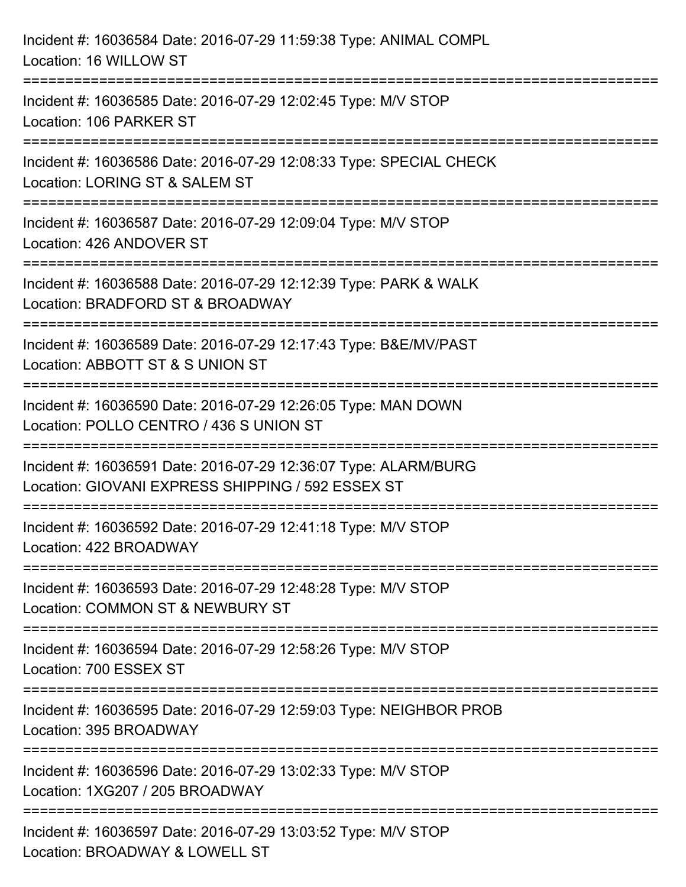| Incident #: 16036584 Date: 2016-07-29 11:59:38 Type: ANIMAL COMPL<br>Location: 16 WILLOW ST                                       |
|-----------------------------------------------------------------------------------------------------------------------------------|
| =====================================<br>Incident #: 16036585 Date: 2016-07-29 12:02:45 Type: M/V STOP<br>Location: 106 PARKER ST |
| ====================<br>Incident #: 16036586 Date: 2016-07-29 12:08:33 Type: SPECIAL CHECK<br>Location: LORING ST & SALEM ST      |
| Incident #: 16036587 Date: 2016-07-29 12:09:04 Type: M/V STOP<br>Location: 426 ANDOVER ST                                         |
| Incident #: 16036588 Date: 2016-07-29 12:12:39 Type: PARK & WALK<br>Location: BRADFORD ST & BROADWAY                              |
| Incident #: 16036589 Date: 2016-07-29 12:17:43 Type: B&E/MV/PAST<br>Location: ABBOTT ST & S UNION ST                              |
| Incident #: 16036590 Date: 2016-07-29 12:26:05 Type: MAN DOWN<br>Location: POLLO CENTRO / 436 S UNION ST                          |
| Incident #: 16036591 Date: 2016-07-29 12:36:07 Type: ALARM/BURG<br>Location: GIOVANI EXPRESS SHIPPING / 592 ESSEX ST              |
| Incident #: 16036592 Date: 2016-07-29 12:41:18 Type: M/V STOP<br>Location: 422 BROADWAY                                           |
| Incident #: 16036593 Date: 2016-07-29 12:48:28 Type: M/V STOP<br>Location: COMMON ST & NEWBURY ST                                 |
| Incident #: 16036594 Date: 2016-07-29 12:58:26 Type: M/V STOP<br>Location: 700 ESSEX ST                                           |
| Incident #: 16036595 Date: 2016-07-29 12:59:03 Type: NEIGHBOR PROB<br>Location: 395 BROADWAY                                      |
| Incident #: 16036596 Date: 2016-07-29 13:02:33 Type: M/V STOP<br>Location: 1XG207 / 205 BROADWAY                                  |
| Incident #: 16036597 Date: 2016-07-29 13:03:52 Type: M/V STOP<br>Location: BROADWAY & LOWELL ST                                   |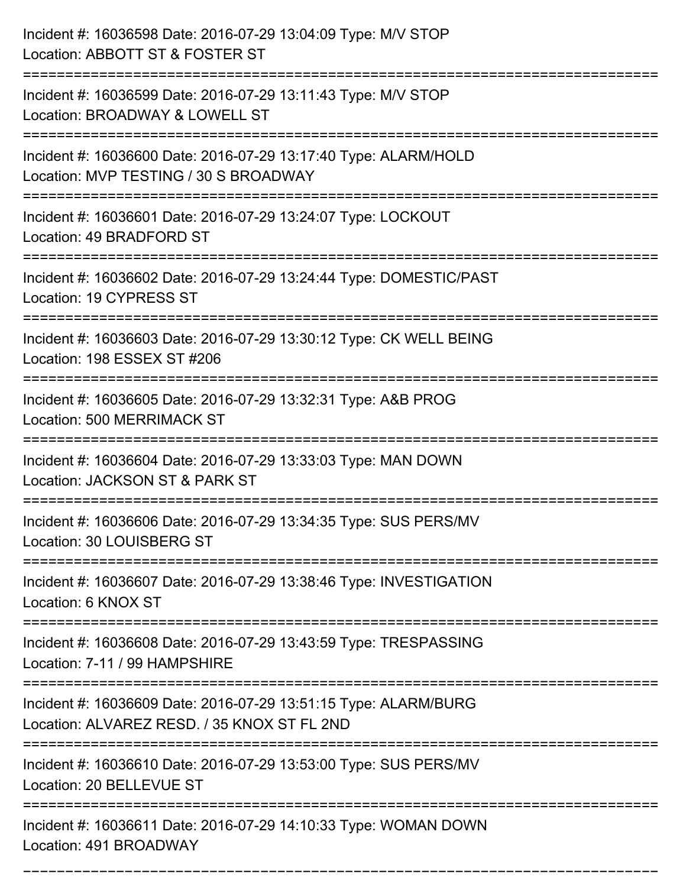| Incident #: 16036598 Date: 2016-07-29 13:04:09 Type: M/V STOP<br>Location: ABBOTT ST & FOSTER ST                                    |
|-------------------------------------------------------------------------------------------------------------------------------------|
| =====================<br>Incident #: 16036599 Date: 2016-07-29 13:11:43 Type: M/V STOP<br>Location: BROADWAY & LOWELL ST            |
| Incident #: 16036600 Date: 2016-07-29 13:17:40 Type: ALARM/HOLD<br>Location: MVP TESTING / 30 S BROADWAY<br>:====================== |
| Incident #: 16036601 Date: 2016-07-29 13:24:07 Type: LOCKOUT<br>Location: 49 BRADFORD ST                                            |
| Incident #: 16036602 Date: 2016-07-29 13:24:44 Type: DOMESTIC/PAST<br>Location: 19 CYPRESS ST                                       |
| Incident #: 16036603 Date: 2016-07-29 13:30:12 Type: CK WELL BEING<br>Location: 198 ESSEX ST #206                                   |
| Incident #: 16036605 Date: 2016-07-29 13:32:31 Type: A&B PROG<br><b>Location: 500 MERRIMACK ST</b>                                  |
| Incident #: 16036604 Date: 2016-07-29 13:33:03 Type: MAN DOWN<br>Location: JACKSON ST & PARK ST                                     |
| Incident #: 16036606 Date: 2016-07-29 13:34:35 Type: SUS PERS/MV<br>Location: 30 LOUISBERG ST                                       |
| Incident #: 16036607 Date: 2016-07-29 13:38:46 Type: INVESTIGATION<br>Location: 6 KNOX ST                                           |
| Incident #: 16036608 Date: 2016-07-29 13:43:59 Type: TRESPASSING<br>Location: 7-11 / 99 HAMPSHIRE                                   |
| Incident #: 16036609 Date: 2016-07-29 13:51:15 Type: ALARM/BURG<br>Location: ALVAREZ RESD. / 35 KNOX ST FL 2ND                      |
| Incident #: 16036610 Date: 2016-07-29 13:53:00 Type: SUS PERS/MV<br>Location: 20 BELLEVUE ST                                        |
| Incident #: 16036611 Date: 2016-07-29 14:10:33 Type: WOMAN DOWN<br>Location: 491 BROADWAY                                           |

===========================================================================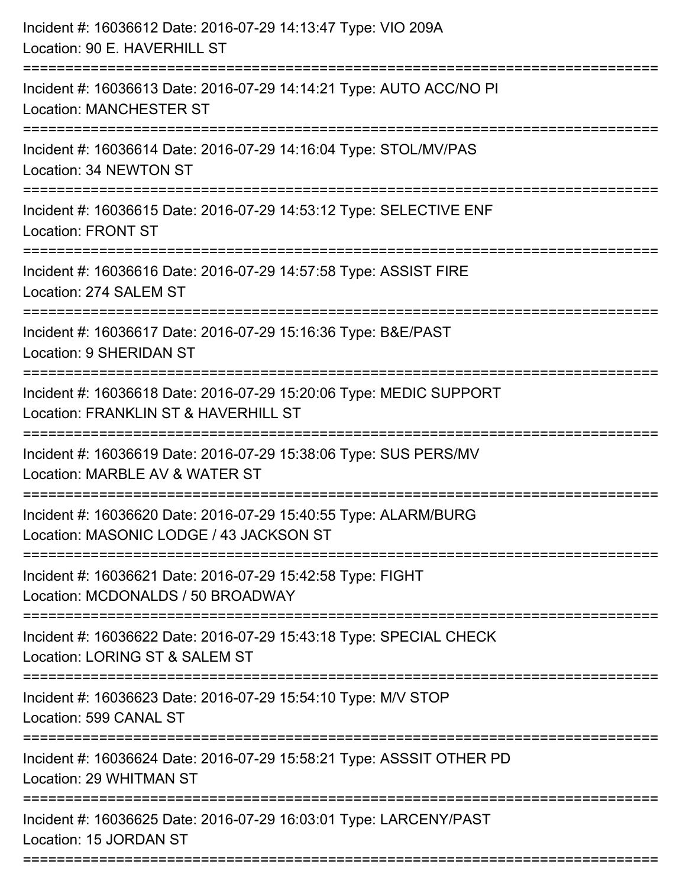| Incident #: 16036612 Date: 2016-07-29 14:13:47 Type: VIO 209A<br>Location: 90 E. HAVERHILL ST              |
|------------------------------------------------------------------------------------------------------------|
| Incident #: 16036613 Date: 2016-07-29 14:14:21 Type: AUTO ACC/NO PI<br><b>Location: MANCHESTER ST</b>      |
| Incident #: 16036614 Date: 2016-07-29 14:16:04 Type: STOL/MV/PAS<br>Location: 34 NEWTON ST                 |
| Incident #: 16036615 Date: 2016-07-29 14:53:12 Type: SELECTIVE ENF<br><b>Location: FRONT ST</b>            |
| Incident #: 16036616 Date: 2016-07-29 14:57:58 Type: ASSIST FIRE<br>Location: 274 SALEM ST                 |
| Incident #: 16036617 Date: 2016-07-29 15:16:36 Type: B&E/PAST<br>Location: 9 SHERIDAN ST                   |
| Incident #: 16036618 Date: 2016-07-29 15:20:06 Type: MEDIC SUPPORT<br>Location: FRANKLIN ST & HAVERHILL ST |
| Incident #: 16036619 Date: 2016-07-29 15:38:06 Type: SUS PERS/MV<br>Location: MARBLE AV & WATER ST         |
| Incident #: 16036620 Date: 2016-07-29 15:40:55 Type: ALARM/BURG<br>Location: MASONIC LODGE / 43 JACKSON ST |
| Incident #: 16036621 Date: 2016-07-29 15:42:58 Type: FIGHT<br>Location: MCDONALDS / 50 BROADWAY            |
| Incident #: 16036622 Date: 2016-07-29 15:43:18 Type: SPECIAL CHECK<br>Location: LORING ST & SALEM ST       |
| Incident #: 16036623 Date: 2016-07-29 15:54:10 Type: M/V STOP<br>Location: 599 CANAL ST                    |
| Incident #: 16036624 Date: 2016-07-29 15:58:21 Type: ASSSIT OTHER PD<br>Location: 29 WHITMAN ST            |
| Incident #: 16036625 Date: 2016-07-29 16:03:01 Type: LARCENY/PAST<br>Location: 15 JORDAN ST                |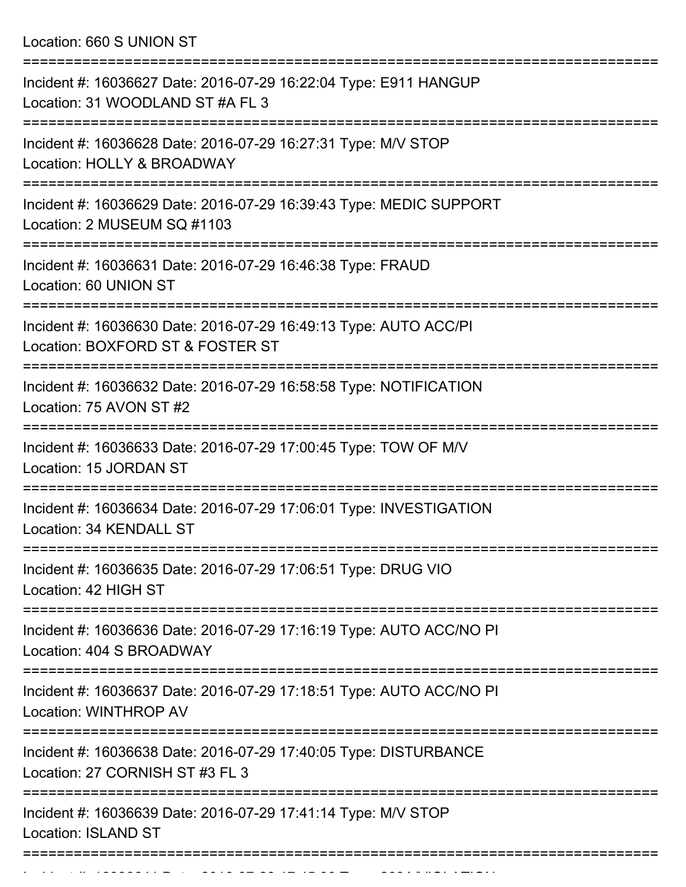Location: 660 S UNION ST

| Incident #: 16036627 Date: 2016-07-29 16:22:04 Type: E911 HANGUP<br>Location: 31 WOODLAND ST #A FL 3                            |
|---------------------------------------------------------------------------------------------------------------------------------|
| Incident #: 16036628 Date: 2016-07-29 16:27:31 Type: M/V STOP<br>Location: HOLLY & BROADWAY                                     |
| Incident #: 16036629 Date: 2016-07-29 16:39:43 Type: MEDIC SUPPORT<br>Location: 2 MUSEUM SQ #1103                               |
| Incident #: 16036631 Date: 2016-07-29 16:46:38 Type: FRAUD<br>Location: 60 UNION ST                                             |
| Incident #: 16036630 Date: 2016-07-29 16:49:13 Type: AUTO ACC/PI<br>Location: BOXFORD ST & FOSTER ST                            |
| Incident #: 16036632 Date: 2016-07-29 16:58:58 Type: NOTIFICATION<br>Location: 75 AVON ST #2                                    |
| Incident #: 16036633 Date: 2016-07-29 17:00:45 Type: TOW OF M/V<br>Location: 15 JORDAN ST                                       |
| Incident #: 16036634 Date: 2016-07-29 17:06:01 Type: INVESTIGATION<br>Location: 34 KENDALL ST                                   |
| ;================<br>Incident #: 16036635 Date: 2016-07-29 17:06:51 Type: DRUG VIO<br>Location: 42 HIGH ST                      |
| ============================<br>Incident #: 16036636 Date: 2016-07-29 17:16:19 Type: AUTO ACC/NO PI<br>Location: 404 S BROADWAY |
| Incident #: 16036637 Date: 2016-07-29 17:18:51 Type: AUTO ACC/NO PI<br>Location: WINTHROP AV                                    |
| Incident #: 16036638 Date: 2016-07-29 17:40:05 Type: DISTURBANCE<br>Location: 27 CORNISH ST #3 FL 3                             |
| Incident #: 16036639 Date: 2016-07-29 17:41:14 Type: M/V STOP<br><b>Location: ISLAND ST</b>                                     |
|                                                                                                                                 |

Incident #: 16036641 Date: 2016 07 29 17:45:00 Type: 209A/VIOLATION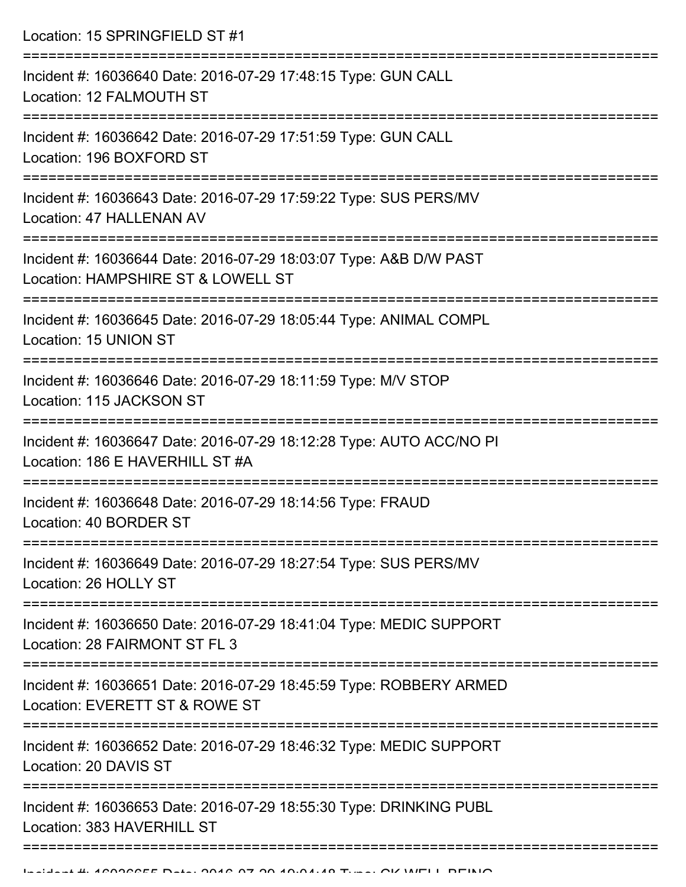Location: 15 SPRINGFIELD ST #1

| Incident #: 16036640 Date: 2016-07-29 17:48:15 Type: GUN CALL<br>Location: 12 FALMOUTH ST               |
|---------------------------------------------------------------------------------------------------------|
| Incident #: 16036642 Date: 2016-07-29 17:51:59 Type: GUN CALL<br>Location: 196 BOXFORD ST               |
| Incident #: 16036643 Date: 2016-07-29 17:59:22 Type: SUS PERS/MV<br>Location: 47 HALLENAN AV            |
| Incident #: 16036644 Date: 2016-07-29 18:03:07 Type: A&B D/W PAST<br>Location: HAMPSHIRE ST & LOWELL ST |
| Incident #: 16036645 Date: 2016-07-29 18:05:44 Type: ANIMAL COMPL<br>Location: 15 UNION ST              |
| Incident #: 16036646 Date: 2016-07-29 18:11:59 Type: M/V STOP<br>Location: 115 JACKSON ST               |
| Incident #: 16036647 Date: 2016-07-29 18:12:28 Type: AUTO ACC/NO PI<br>Location: 186 E HAVERHILL ST #A  |
| Incident #: 16036648 Date: 2016-07-29 18:14:56 Type: FRAUD<br>Location: 40 BORDER ST                    |
| Incident #: 16036649 Date: 2016-07-29 18:27:54 Type: SUS PERS/MV<br>Location: 26 HOLLY ST               |
| Incident #: 16036650 Date: 2016-07-29 18:41:04 Type: MEDIC SUPPORT<br>Location: 28 FAIRMONT ST FL 3     |
| Incident #: 16036651 Date: 2016-07-29 18:45:59 Type: ROBBERY ARMED<br>Location: EVERETT ST & ROWE ST    |
| Incident #: 16036652 Date: 2016-07-29 18:46:32 Type: MEDIC SUPPORT<br>Location: 20 DAVIS ST             |
| Incident #: 16036653 Date: 2016-07-29 18:55:30 Type: DRINKING PUBL<br>Location: 383 HAVERHILL ST        |
|                                                                                                         |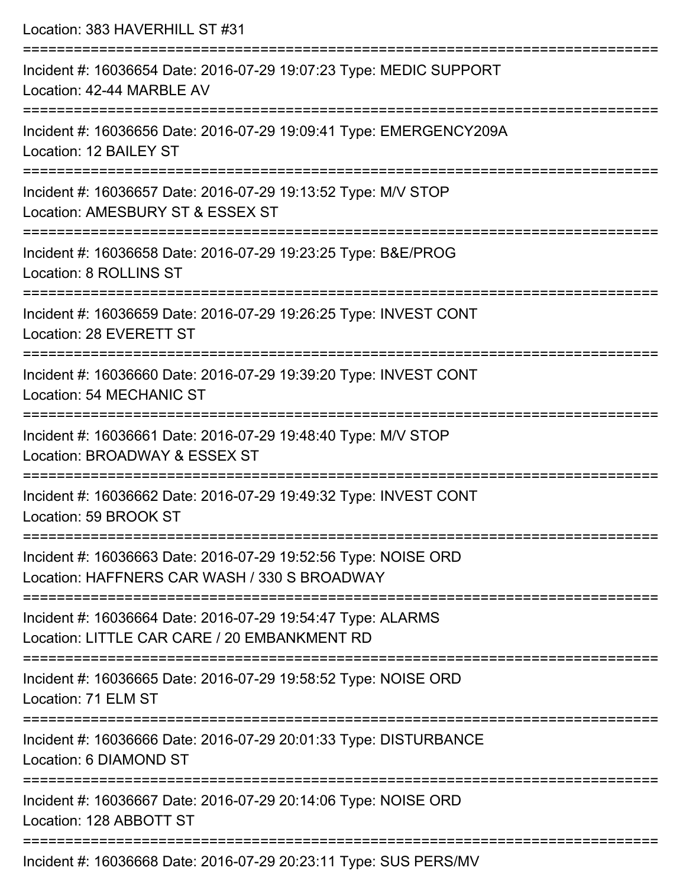| Location: 383 HAVERHILL ST #31                                                                                                   |
|----------------------------------------------------------------------------------------------------------------------------------|
| Incident #: 16036654 Date: 2016-07-29 19:07:23 Type: MEDIC SUPPORT<br>Location: 42-44 MARBLE AV<br>:============================ |
| Incident #: 16036656 Date: 2016-07-29 19:09:41 Type: EMERGENCY209A<br>Location: 12 BAILEY ST                                     |
| Incident #: 16036657 Date: 2016-07-29 19:13:52 Type: M/V STOP<br>Location: AMESBURY ST & ESSEX ST                                |
| ===================================<br>Incident #: 16036658 Date: 2016-07-29 19:23:25 Type: B&E/PROG<br>Location: 8 ROLLINS ST   |
| Incident #: 16036659 Date: 2016-07-29 19:26:25 Type: INVEST CONT<br>Location: 28 EVERETT ST                                      |
| ===============================<br>Incident #: 16036660 Date: 2016-07-29 19:39:20 Type: INVEST CONT<br>Location: 54 MECHANIC ST  |
| Incident #: 16036661 Date: 2016-07-29 19:48:40 Type: M/V STOP<br>Location: BROADWAY & ESSEX ST                                   |
| Incident #: 16036662 Date: 2016-07-29 19:49:32 Type: INVEST CONT<br>Location: 59 BROOK ST                                        |
| Incident #: 16036663 Date: 2016-07-29 19:52:56 Type: NOISE ORD<br>Location: HAFFNERS CAR WASH / 330 S BROADWAY                   |
| Incident #: 16036664 Date: 2016-07-29 19:54:47 Type: ALARMS<br>Location: LITTLE CAR CARE / 20 EMBANKMENT RD                      |
| Incident #: 16036665 Date: 2016-07-29 19:58:52 Type: NOISE ORD<br>Location: 71 ELM ST                                            |
| Incident #: 16036666 Date: 2016-07-29 20:01:33 Type: DISTURBANCE<br>Location: 6 DIAMOND ST                                       |
| Incident #: 16036667 Date: 2016-07-29 20:14:06 Type: NOISE ORD<br>Location: 128 ABBOTT ST                                        |
| Incident #: 16036668 Date: 2016-07-29 20:23:11 Type: SLIS DEDS/MV                                                                |

Incident #: 16036668 Date: 2016-07-29 20:23:11 Type: SUS PERS/MV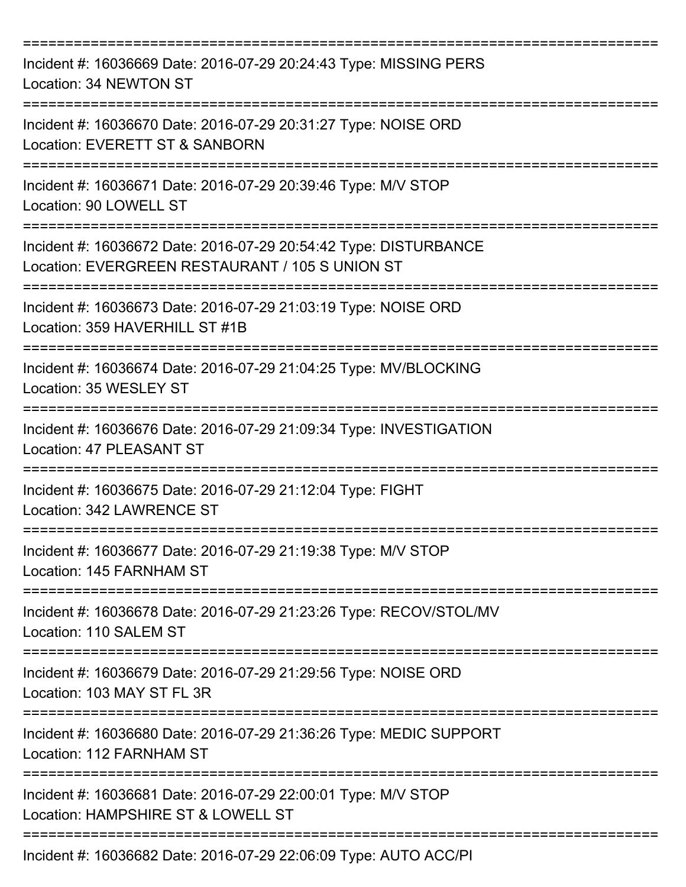| Incident #: 16036669 Date: 2016-07-29 20:24:43 Type: MISSING PERS<br>Location: 34 NEWTON ST                                           |
|---------------------------------------------------------------------------------------------------------------------------------------|
| Incident #: 16036670 Date: 2016-07-29 20:31:27 Type: NOISE ORD<br>Location: EVERETT ST & SANBORN                                      |
| Incident #: 16036671 Date: 2016-07-29 20:39:46 Type: M/V STOP<br>Location: 90 LOWELL ST                                               |
| Incident #: 16036672 Date: 2016-07-29 20:54:42 Type: DISTURBANCE<br>Location: EVERGREEN RESTAURANT / 105 S UNION ST<br>-------------- |
| Incident #: 16036673 Date: 2016-07-29 21:03:19 Type: NOISE ORD<br>Location: 359 HAVERHILL ST #1B                                      |
| Incident #: 16036674 Date: 2016-07-29 21:04:25 Type: MV/BLOCKING<br>Location: 35 WESLEY ST                                            |
| Incident #: 16036676 Date: 2016-07-29 21:09:34 Type: INVESTIGATION<br>Location: 47 PLEASANT ST                                        |
| Incident #: 16036675 Date: 2016-07-29 21:12:04 Type: FIGHT<br>Location: 342 LAWRENCE ST                                               |
| Incident #: 16036677 Date: 2016-07-29 21:19:38 Type: M/V STOP<br>Location: 145 FARNHAM ST                                             |
| Incident #: 16036678 Date: 2016-07-29 21:23:26 Type: RECOV/STOL/MV<br>Location: 110 SALEM ST                                          |
| Incident #: 16036679 Date: 2016-07-29 21:29:56 Type: NOISE ORD<br>Location: 103 MAY ST FL 3R                                          |
| Incident #: 16036680 Date: 2016-07-29 21:36:26 Type: MEDIC SUPPORT<br>Location: 112 FARNHAM ST                                        |
| Incident #: 16036681 Date: 2016-07-29 22:00:01 Type: M/V STOP<br>Location: HAMPSHIRE ST & LOWELL ST                                   |
| Incident #: 16036682 Date: 2016-07-29 22:06:09 Type: AUTO ACC/PI                                                                      |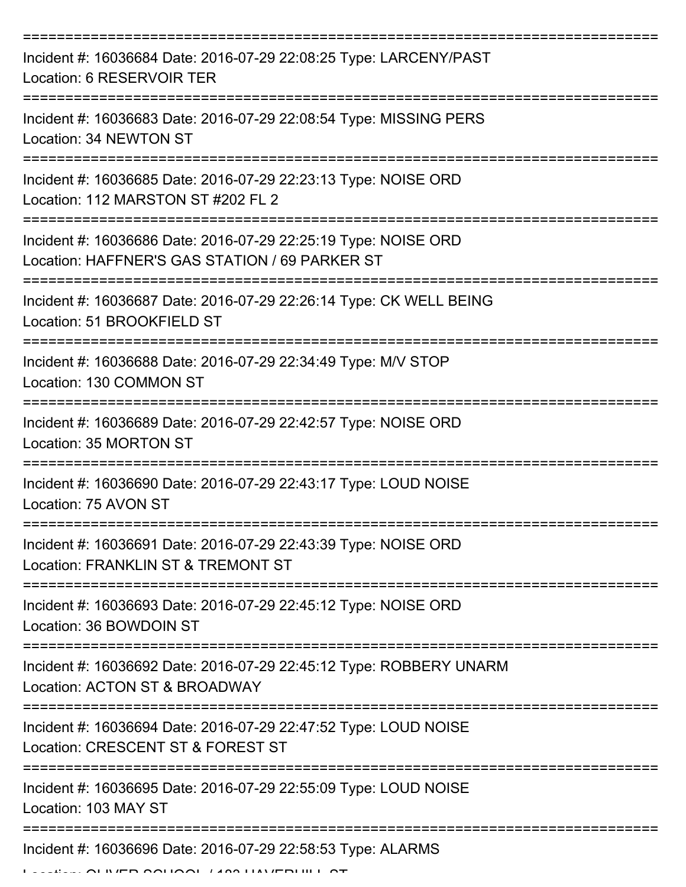| Incident #: 16036684 Date: 2016-07-29 22:08:25 Type: LARCENY/PAST<br>Location: 6 RESERVOIR TER                                                                                                                                                                                                                                                                                                                                                                                                                                                                                           |
|------------------------------------------------------------------------------------------------------------------------------------------------------------------------------------------------------------------------------------------------------------------------------------------------------------------------------------------------------------------------------------------------------------------------------------------------------------------------------------------------------------------------------------------------------------------------------------------|
| Incident #: 16036683 Date: 2016-07-29 22:08:54 Type: MISSING PERS<br>Location: 34 NEWTON ST                                                                                                                                                                                                                                                                                                                                                                                                                                                                                              |
| Incident #: 16036685 Date: 2016-07-29 22:23:13 Type: NOISE ORD<br>Location: 112 MARSTON ST #202 FL 2                                                                                                                                                                                                                                                                                                                                                                                                                                                                                     |
| Incident #: 16036686 Date: 2016-07-29 22:25:19 Type: NOISE ORD<br>Location: HAFFNER'S GAS STATION / 69 PARKER ST                                                                                                                                                                                                                                                                                                                                                                                                                                                                         |
| Incident #: 16036687 Date: 2016-07-29 22:26:14 Type: CK WELL BEING<br>Location: 51 BROOKFIELD ST                                                                                                                                                                                                                                                                                                                                                                                                                                                                                         |
| Incident #: 16036688 Date: 2016-07-29 22:34:49 Type: M/V STOP<br>Location: 130 COMMON ST                                                                                                                                                                                                                                                                                                                                                                                                                                                                                                 |
| Incident #: 16036689 Date: 2016-07-29 22:42:57 Type: NOISE ORD<br>Location: 35 MORTON ST                                                                                                                                                                                                                                                                                                                                                                                                                                                                                                 |
| Incident #: 16036690 Date: 2016-07-29 22:43:17 Type: LOUD NOISE<br>Location: 75 AVON ST                                                                                                                                                                                                                                                                                                                                                                                                                                                                                                  |
| Incident #: 16036691 Date: 2016-07-29 22:43:39 Type: NOISE ORD<br>Location: FRANKLIN ST & TREMONT ST                                                                                                                                                                                                                                                                                                                                                                                                                                                                                     |
| Incident #: 16036693 Date: 2016-07-29 22:45:12 Type: NOISE ORD<br>Location: 36 BOWDOIN ST                                                                                                                                                                                                                                                                                                                                                                                                                                                                                                |
| Incident #: 16036692 Date: 2016-07-29 22:45:12 Type: ROBBERY UNARM<br>Location: ACTON ST & BROADWAY                                                                                                                                                                                                                                                                                                                                                                                                                                                                                      |
| Incident #: 16036694 Date: 2016-07-29 22:47:52 Type: LOUD NOISE<br>Location: CRESCENT ST & FOREST ST                                                                                                                                                                                                                                                                                                                                                                                                                                                                                     |
| Incident #: 16036695 Date: 2016-07-29 22:55:09 Type: LOUD NOISE<br>Location: 103 MAY ST                                                                                                                                                                                                                                                                                                                                                                                                                                                                                                  |
| Incident #: 16036696 Date: 2016-07-29 22:58:53 Type: ALARMS<br>$\begin{array}{c}\n\text{IN} \quad \text{IN} \quad \text{IN} \quad \text{IN} \quad \text{IN} \quad \text{IN} \quad \text{IN} \quad \text{IN} \quad \text{IN} \quad \text{IN} \quad \text{IN} \quad \text{IN} \quad \text{IN} \quad \text{IN} \quad \text{IN} \quad \text{IN} \quad \text{IN} \quad \text{IN} \quad \text{IN} \quad \text{IN} \quad \text{IN} \quad \text{IN} \quad \text{IN} \quad \text{IN} \quad \text{IN} \quad \text{IN} \quad \text{IN} \quad \text{IN} \quad \text{IN} \quad \text{IN} \quad \text$ |